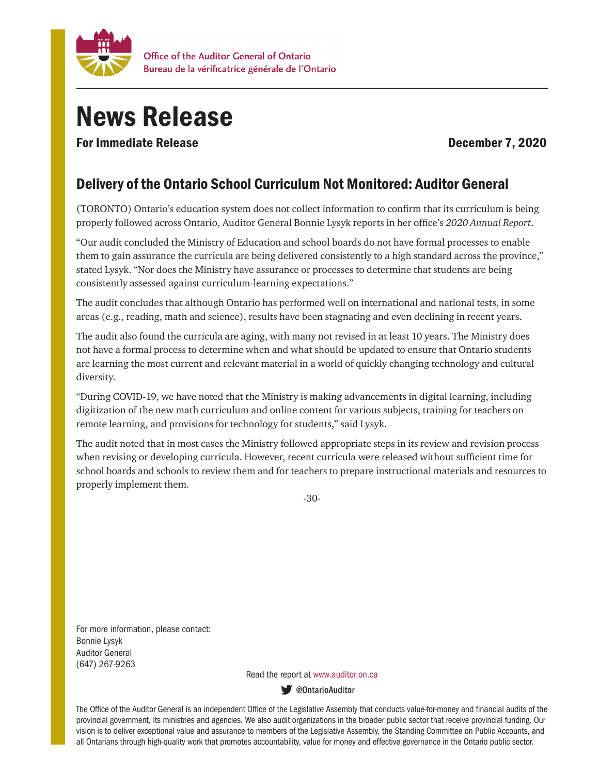

## News Release

For Immediate Release **December 7, 2020** 

## Delivery of the Ontario School Curriculum Not Monitored: Auditor General

(TORONTO) Ontario's education system does not collect information to confirm that its curriculum is being properly followed across Ontario, Auditor General Bonnie Lysyk reports in her office's *2020 Annual Report*.

"Our audit concluded the Ministry of Education and school boards do not have formal processes to enable them to gain assurance the curricula are being delivered consistently to a high standard across the province," stated Lysyk. "Nor does the Ministry have assurance or processes to determine that students are being consistently assessed against curriculum-learning expectations."

The audit concludes that although Ontario has performed well on international and national tests, in some areas (e.g., reading, math and science), results have been stagnating and even declining in recent years.

The audit also found the curricula are aging, with many not revised in at least 10 years. The Ministry does not have a formal process to determine when and what should be updated to ensure that Ontario students are learning the most current and relevant material in a world of quickly changing technology and cultural diversity.

"During COVID-19, we have noted that the Ministry is making advancements in digital learning, including digitization of the new math curriculum and online content for various subjects, training for teachers on remote learning, and provisions for technology for students," said Lysyk.

The audit noted that in most cases the Ministry followed appropriate steps in its review and revision process when revising or developing curricula. However, recent curricula were released without sufficient time for school boards and schools to review them and for teachers to prepare instructional materials and resources to properly implement them.

-30-

For more information, please contact: Bonnie Lysyk Auditor General (647) 267-9263

Read the report at www.auditor.on.ca

ContarioAuditor

The Office of the Auditor General is an independent Office of the Legislative Assembly that conducts value-for-money and financial audits of the provincial government, its ministries and agencies. We also audit organizations in the broader public sector that receive provincial funding. Our vision is to deliver exceptional value and assurance to members of the Legislative Assembly, the Standing Committee on Public Accounts, and all Ontarians through high-quality work that promotes accountability, value for money and effective governance in the Ontario public sector.